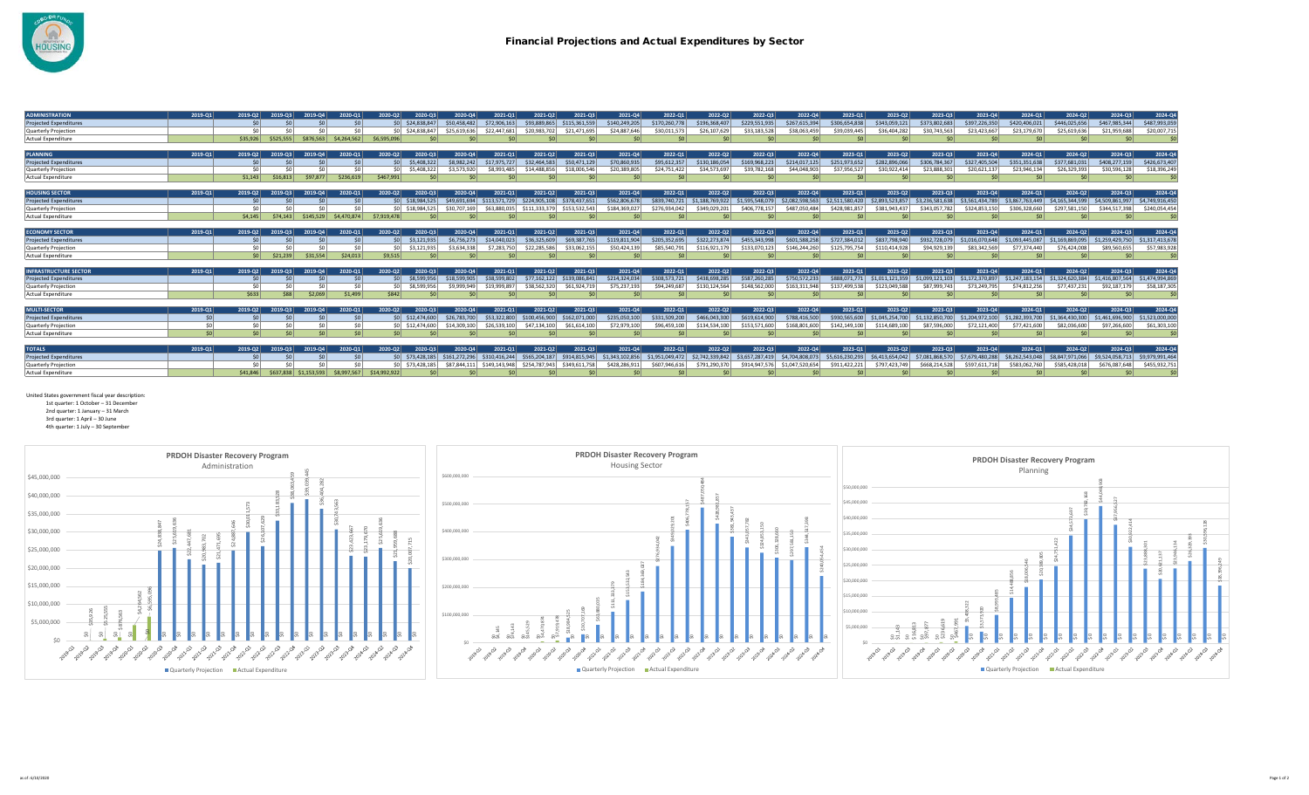

| <b>ADMINISTRATION</b>         | 2019-01 | 2019-02        | 2019-03   | 2019-04     | 2020-01     | 2020-Q2         | 2020-03          | 2020-04         | 2021-01       | 2021-02       | 2021-03                     | 2021-04         | 2022-01         | 2022-02         | 2022-03         | 2022-04         | 2023-01         | 2023-02         | 2023-03         | 2023-04         | 2024-01         | 2024-02         | 2024-03         | 2024-Q4         |
|-------------------------------|---------|----------------|-----------|-------------|-------------|-----------------|------------------|-----------------|---------------|---------------|-----------------------------|-----------------|-----------------|-----------------|-----------------|-----------------|-----------------|-----------------|-----------------|-----------------|-----------------|-----------------|-----------------|-----------------|
| <b>Projected Expenditures</b> |         | \$0            |           |             |             |                 | SO \$24,838,847  | \$50,458,482    | \$72,906,163  | \$93,889,865  | \$115,361,559               | \$140.249.205   | \$170,260,778   | \$196,368,407   | \$229,551,935   | \$267,615,394   | \$306,654,838   | \$343,059,121   | \$373,802,683   | \$397,226,350   | \$420,406,021   | \$446,025,656   | \$467,985,344   | \$487,993,059   |
| Quarterly Projection          |         |                |           |             |             |                 | \$0 \$24,838,847 | \$25,619,636    | \$22,447,681  | \$20,983,702  | \$21.471.695                | \$24,887,646    | \$30,011.573    | \$26,107,629    | \$33,183,528    | \$38,063,459    | \$39,039,445    | \$36,404.282    | \$30,743,563    | \$23,423,667    | \$23,179,670    | \$25,619,636    | \$21,959,688    | \$20,007,715    |
| Actual Expenditure            |         | \$35,926       | \$525,555 | \$876,563   | \$4,264,562 | \$6,595,096     |                  |                 |               | \$0           |                             |                 | \$0             | \$0             | \$0             | \$0             | SO <sub>2</sub> | \$0             |                 | \$0             |                 | \$0             | \$0             | - \$0           |
|                               |         |                |           |             |             |                 |                  |                 |               |               |                             |                 |                 |                 |                 |                 |                 |                 |                 |                 |                 |                 |                 |                 |
| <b>PLANNING</b>               | 2019-01 | 2019-02        | 2019-03   | 2019-04     | 2020-01     | 2020-02         | 2020-03          | 2020-04         | 2021-01       | 2021-02       | 2021-03                     | 2021-04         | 2022-01         | 2022-02         | 2022-03         | 2022-04         | 2023-01         | 2023-02         | 2023-03         | 2023-04         | 2024-01         | 2024-02         | 2024-03         | 2024-Q4         |
| <b>Projected Expenditures</b> |         | \$0            |           |             |             | SO <sub>2</sub> | \$5,408,322      | \$8,982,242     | \$17,975,727  | \$32,464,583  | \$50,471,129                | \$70,860,935    | \$95,612,357    | \$130,186,054   | \$169,968,223   | \$214,017,125   | \$251,973,652   | \$282.896.066   | \$306,784,367   | \$327,405,504   | \$351,351,638   | \$377,681,031   | \$408,277,159   | \$426,673,407   |
| Quarterly Projection          |         |                | ሩስ        |             |             |                 | \$5,408,322      | \$3,573,920     | \$8,993,485   | \$14,488,856  | \$18,006,546                | \$20,389,805    | \$24,751,422    | \$34,573,69     | \$39,782,168    | \$44,048,903    | \$37,956,527    | \$30.922.41     | \$23,888.30     | \$20,621,137    | \$23,946,134    | \$26,329,393    | \$30,596.128    | \$18,396,249    |
| <b>Actual Expenditure</b>     |         | \$1,143        | \$16,813  | \$97,877    | \$236,619   | \$467,991       |                  | \$0             |               | \$0           |                             |                 | \$0             | \$0             | -SO             | \$0             | SO <sub>2</sub> | \$0             |                 | $\mathcal{S}$   |                 | \$0             |                 | $\mathsf{S}$    |
|                               |         |                |           |             |             |                 |                  |                 |               |               |                             |                 |                 |                 |                 |                 |                 |                 |                 |                 |                 |                 |                 |                 |
| <b>HOUSING SECTOR</b>         | 2019-01 | 2019-02        | 2019-03   | 2019-04     | 2020-01     | 2020-02         | 2020-03          | 2020-04         | 2021-01       | 2021-02       | 2021-03                     | 2021-04         | 2022-01         | 2022-02         | 2022-03         | 2022-04         | $2023 - 01$     | 2023-02         | 2023-03         | 2023-04         | 2024-01         | 2024-02         | 2024-03         | 2024-Q4         |
| <b>Projected Expenditures</b> |         |                |           |             |             |                 | \$0 \$18,984,525 | \$49,691,694    | \$113,571,729 |               | \$224,905,108 \$378,437,651 | \$562,806,678   | \$839,740,721   | \$1,188,769,922 | \$1,595,548,079 | \$2,082,598,563 | \$2,511,580,420 | \$2,893,523,857 | \$3,236,581,638 | \$3,561,434,789 | \$3,867,763,449 | \$4,165,344,599 | \$4,509,861,997 | \$4,749,916,450 |
| Quarterly Projection          |         |                |           |             |             |                 | SO S18,984.525   | \$30,707,169    | \$63,880,035  | \$111.333.379 | \$153,532,543               | \$184,369.027   | \$276,934,042   | \$349,029,201   | \$406,778,157   | \$487,050,484   | \$428,981,857   | \$381,943,437   | \$343,057,782   | \$324,853,150   | \$306,328,660   | \$297.581.150   | \$344,517,398   | \$240,054,454   |
| Actual Expenditure            |         | \$4.145        | \$74.143  | \$145.529   | \$4,470,874 | \$7,919,478     |                  |                 |               | \$0           |                             |                 | \$0             |                 | -SO             | S0              | SO <sub>2</sub> | $\mathsf{S}$    |                 |                 |                 | \$0             | Ś۵              | <b>SC</b>       |
|                               |         |                |           |             |             |                 |                  |                 |               |               |                             |                 |                 |                 |                 |                 |                 |                 |                 |                 |                 |                 |                 |                 |
| <b>ECONOMY SECTOR</b>         | 2019-01 | 2019-02        | 2019-03   | 2019-04     | 2020-01     | 2020-02         | 2020-03          | 2020-04         | 2021-01       | 2021-02       | 2021-03                     | 2021-04         | 2022-01         | 2022-02         | 2022-03         | 2022-04         | 2023-01         | 2023-02         | 2023-03         | 2023-04         | 2024-01         | 2024-02         | 2024-03         | 2024-Q4         |
| <b>Projected Expenditures</b> |         |                |           |             |             | $\sin$          | \$3,121,935      | \$6,756,273     | \$14,040,023  | \$36,325,609  | \$69,387,765                | \$119,811,904   | \$205,352,695   | \$322.273.874   | \$455,343,998   | \$601.588.258   | \$727,384,012   | \$837,798,940   | \$932,728,079   | \$1.016.070.648 | \$1,093,445,087 | \$1.169.869.095 | \$1,259,429,750 | \$1,317,413,678 |
| Quarterly Projection          |         |                | ሩስ        |             |             |                 | \$3,121,935      | \$3.634.338     | \$7,283,750   | \$22,285,586  | \$33,062,155                | \$50,424,139    | \$85,540,791    | \$116.921.179   | \$133,070,123   | \$146.244.260   | \$125,795,754   | \$110,414,928   | \$94,929,139    | \$83,342,569    | \$77.374.440    | \$76,424,008    | \$89,560,655    | \$57,983,928    |
| <b>Actual Expenditure</b>     |         | S <sub>0</sub> | \$21.239  | \$31.554    | \$24,013    | \$9.515         |                  | <b>SO</b>       |               | \$0           |                             |                 |                 |                 |                 | S0              | -SO             | $\mathsf{S}$    |                 |                 |                 | \$0             |                 |                 |
|                               |         |                |           |             |             |                 |                  |                 |               |               |                             |                 |                 |                 |                 |                 |                 |                 |                 |                 |                 |                 |                 |                 |
| <b>NFRASTRUCTURE SECTOR</b>   | 2019-01 | 2019-02        | 2019-03   | 2019-04     | 2020-01     | 2020-Q2         | 2020-03          | 2020-04         | 2021-01       | 2021-02       | 2021-03                     | 2021-04         | 2022-01         | 2022-02         | 2022-03         | 2022-04         | $2023-01$       | 2023-02         | 2023-03         | 2023-04         | 2024-01         | 2024-02         | 2024-03         | 2024-Q4         |
| <b>Projected Expenditures</b> |         |                |           |             |             | \$0             | \$8,599,956      | \$18,599,905    | \$38,599,802  | \$77,162,122  | \$139,086,841               | \$214,324,034   | \$308,573,721   | \$438,698,285   | \$587,260,285   | \$750,572,233   | \$888,071,771   | \$1,011,121,359 | \$1,099,121,103 | \$1,172,370,897 | \$1,247,183,154 | \$1,324,620,384 | \$1,416,807,564 | \$1,474,994,869 |
| Quarterly Projection          |         |                |           |             |             |                 | \$8.599.956      | \$9,999,949     | \$19,999.897  | \$38,562,320  | \$61,924,719                | \$75.237.193    | \$94,249,687    | \$130.124.564   | \$148.562.000   | \$163.311.948   | \$137.499.538   | \$123,049,588   | \$87,999,743    | \$73,249,795    | \$74,812,256    | \$77,437,231    | \$92,187,179    | \$58,187,305    |
| <b>Actual Expenditure</b>     |         | \$633          | \$88      | 2.069       | \$1,499     | \$842           |                  |                 |               | \$0           |                             |                 | S0              |                 |                 |                 | S <sub>0</sub>  | \$0             |                 |                 |                 | \$0             |                 | S(              |
|                               |         |                |           |             |             |                 |                  |                 |               |               |                             |                 |                 |                 |                 |                 |                 |                 |                 |                 |                 |                 |                 |                 |
| <b>MULTI-SECTOR</b>           | 2019-01 | 2019-02        | 2019-03   | 2019-04     | 2020-01     | 2020-Q2         | 2020-03          | $2020 - 04$     | 2021-01       | 2021-02       | 2021-03                     | 2021-04         | 2022-01         | 2022-02         | 2022-03         | 2022-04         | $2023 - 01$     | 2023-02         | 2023-03         | 2023-04         | 2024-01         | 2024-02         | 2024-03         | 2024-Q4         |
| <b>Projected Expenditures</b> | \$0     |                | Ś0        |             |             |                 | SO \$12,474,600  | \$26,783,700    | \$53,322,800  | \$100,456,900 | \$162,071,000               | \$235.050.100   | \$331,509,200   | \$466,043,300   | \$619,614,900   | \$788,416,500   | \$930,565,600   | \$1,045,254,700 | \$1,132,850,700 | \$1,204,972,100 | \$1,282,393,700 | \$1,364,430,300 | \$1,461,696,900 | \$1,523,000,000 |
| Quarterly Projection          |         |                |           |             |             |                 | SO \$12,474,600  | \$14,309,100    | \$26,539,100  | \$47,134,100  | \$61,614,100                | \$72,979,100    | \$96,459,100    | \$134,534,100   | \$153.571.600   | 168.801.600     | \$142.149.100   | \$114,689,100   | \$87,596,000    | \$72,121,400    | \$77,421,600    | \$82,036,600    | \$97,266,600    | \$61,303,100    |
| Actual Expenditure            | \$0     | \$0            | \$0       | \$0         | \$0         | SO <sub>2</sub> | \$0              | SO <sub>2</sub> |               | \$0           |                             |                 | \$0             | 50              |                 | \$0             | SO <sub>2</sub> | \$O             |                 |                 |                 | \$0             | \$0             |                 |
|                               |         |                |           |             |             |                 |                  |                 |               |               |                             |                 |                 |                 |                 |                 |                 |                 |                 |                 |                 |                 |                 |                 |
| <b>TOTALS</b>                 | 2019-01 | 2019-02        | 2019-03   | 2019-04     | 2020-01     | 2020-02         | 2020-03          | 2020-04         | 2021-01       | 2021-02       | 2021-03                     | 2021-04         | 2022-01         | 2022-02         | 2022-03         | 2022-04         | $2023 - 01$     | 2023-02         | 2023-03         | 2023-04         | 2024-01         | 2024-02         | 2024-03         | 2024-Q4         |
| <b>Projected Expenditures</b> |         |                |           |             |             |                 | SO \$73,428,185  | \$161,272,296   | \$310,416,244 | \$565,204,187 | \$914,815,945               | \$1,343,102,856 | \$1,951,049,472 | \$2,742,339,842 | \$3,657,287,419 | \$4,704,808,073 | \$5,616,230,293 | \$6,413,654,042 | \$7,081,868,570 | \$7,679,480,288 | \$8,262,543,048 | \$8,847,971,066 | \$9,524,058,713 | \$9,979,991,464 |
| Quarterly Projection          |         |                |           |             |             |                 | \$0 \$73,428,185 |                 | \$149,143,948 | \$254,787,943 | \$349,611,758               | \$428,286.91    | \$607,946,616   | \$791,290,370   | \$914,947,576   | \$1,047,520,654 | \$911,422,221   | \$797,423,749   | \$668,214,528   | \$597.611.718   | \$583.062.760   | \$585,428,018   | \$676.087.648   | \$455,932,75:   |
| Actual Expenditure            |         | \$41,846       | \$637,838 | \$1,153,593 | \$8,997,567 | \$14,992,922    |                  |                 |               |               |                             |                 |                 |                 |                 | \$0             |                 |                 |                 |                 |                 |                 |                 |                 |

United States government fiscal year description:

1st quarter: 1 October – 31 December 2nd quarter: 1 January – 31 March

3rd quarter: 1 April – 30 June

4th quarter: 1 July – 30 September